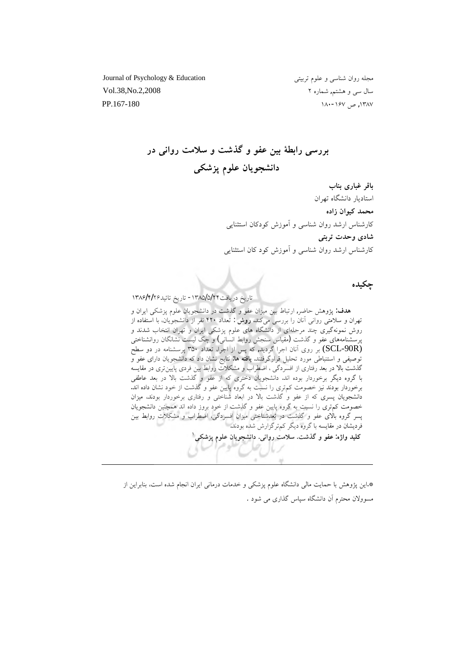Journal of Psychology & Education مجله روان شناسي و علوم تربيتي سال سی و هشتم, شماره ۲ ملی است که Vol.38,No.2,2008 ۱۸۰-۱۶۷، ص ۱۶۷-۱۸۰ هـ. ۱۸۰-۱۶۷

بررسی رابطهٔ بین عفو و گذشت و سلامت روانی در دانشجويان علوم پزشك<u>ی</u>

باقر غباری بناب استادىار دانشگاه تهران محمد کیوان زاده کارشناس ارشد روان شناسی و آموزش کودکان استثنایی شادی وحدت تربت*ی* کارشناس ارشد روان شناسی و آموزش کود کان استثنایی

جكىدە

تاريخ دريافت٢٤/٥/٥/٢٤ - تاريخ تائيد٢/٢/٢/٢٩

ه**دف:** پژوهش حاضر, ارتباط بین میزان عفو و گذشت در دانشجویان علوم پزشکی ایران و تهران و سلامتی روانی آنان را بررسی میکند. **روش :** تعداد ۴۲۰ نفر از دانشجویان، با استفاده از روش نمونهگیری چند مرحلهای از دانشگاه های علوم پزشکی ایران و تهران انتخاب شدند و سشنامههای عفو و گذشت (مقیاس سنجش روابط انسانی) و چک لیست نشانگان روانشناختی بر روی اَنان اجرا گردید, که پس از اجرا، تعداد ۳۵۰ پرسشنامه در دو سطح (SCL-90R) توصیفی و استنباطی مورد تحلیل قرارگرفتند. **یافته ها**: نتایج نشان داد که دانشجویان دارای عفو و گذشت بالا در بعد رفتاری از افسردگی ، اضطراب و مشکلات روابط بین فردی پایین تری در مقایسه با گروه دیگر برخوردار بوده اند. دانشجویان دختری که از عفو و گذشت بالا در بعد عاطفی برخوردار بودند نيز خصومت كم ترى را نسبت به گروه پايين عفو و گذشت از خود نشان داده اند. س قوت الله عن آب بن آب الله عن الله عن الله عن الله عن الله عن الله عن الله عن الله عن الله عن الله عن الله عن<br>دانشجویان پسری که از عفو و گذشت بالا در ابعاد شناختی و رفتاری برخوردار بودند، میزان خصومت کم تری را نسبت به گروه پایین عفو و گذشت از خود بروز داده اند همچنین دانشجویان پسر گروه بالای عفو و گذشت در بُعدشناختی میزان افسردگی، اضطراب و مشکلات روابط بین فردیشان در مقایسه با گروه دیگر کمترگزارش شده بودند. **ƾƨƃżěƭƺƬƗƱŚƿƺŬƄƳřŵ .ƾƳřƹŹŢƯLjſ .ŢƃŸĭƹƺƠƗ :ƵĥřƹŶǀƬƧ <sup>Î</sup>**

\* این یژوهش با حمایت مالی دانشگاه علوم یزشکی و خدمات درمانی ایران انجام شده است، بنابراین از مسوولان محترم آن دانشگاه سپاس گذاری می شود .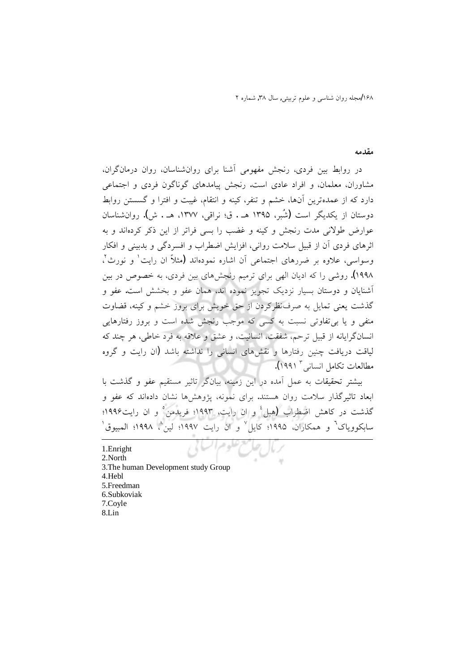۱۶۸ *امجله روان شناسی و علوم تربیتی, سال ۳*۸, شماره ۲

## مق*د*مه

در روابط بین فردی، رنجش مفهومی آشنا برای روانشناسان، روان درمانگران، مشاوران، معلمان، و افراد عادی است. رنجش پیامدهای گوناگون فردی و اجتماعی دارد که از عمدهترین آنها، خشم و تنفر، کینه و انتقام، غیبت و افترا و گسستن روابط دوستان از یکدیگر است (شُبر، ۱۳۹۵ هـ . ق؛ نراقی، ۱۳۷۷، هـ . ش). روانشناسان عوارض طولانی مدت رنجش و کینه و غضب را بسی فراتر از این ذکر کردهاند و به اثرهای فردی آن از قبیل سلامت روانی، افزایش اضطراب و افسردگی و بدبینی و افکار وسواسی، علاوه بر ضررهای اجتماعی آن اشاره نمودهاند (مثلاً ان رایت<sup>۱</sup> و نورث<sup>۲</sup>، ۱۹۹۸). روشی را که ادیان الھی برای ترمیم رنجشهای بین فردی، به خصوص در بین آشنایان و دوستان بسیار نزدیک تجویز نموده اند، همان عفو و بخشش است. عفو و گذشت یعنی تمایل به صرفنظرکردن از حق خویش برای بروز خشم و کینه، قضاوت منفی و یا بی تفاوتی نسبت به کسی که موجب رنجش شده است و بروز رفتارهایی انسانگرایانه از قبیل ترحم، شفقت، انسانیت، و عشق و علاقه به فرد خاطی، هر چند که لیاقت دریافت چنین رفتارها و نقشهای انسانی را نداشته باشد (ان رایت و گروه مطالعات تكامل انسان<sub>ى</sub> " ١٩٩١).

بيشتر تحقيقات به عمل آمده در اين زمينه، بيانگر تاثير مستقيم عفو و گذشت با ابعاد تاثيرگذار سلامت روان هستند. براى نمونه، پژوهشها نشان دادهاند كه عفو و گذشت در کاهش اضطراب (هبل<sup>؛</sup> و ان رایت، ۱۹۹۳؛ فریدمن ٌ و ان رایت۱۹۹۶؛ سابکوویاک<sup>٦</sup> و همکاران، ۱۹۹۵؛ کایل<sup>۷</sup> و ان رایت ۱۹۹۷؛ لین<sup>۸</sup>، ۱۹۹۸؛ المبیوق<sup>۰</sup>

÷

1.Enright 2.North .3 The human Development study Group 4.Hebl 5. Freedman Subkoviak.6 7.Coyle 8.Lin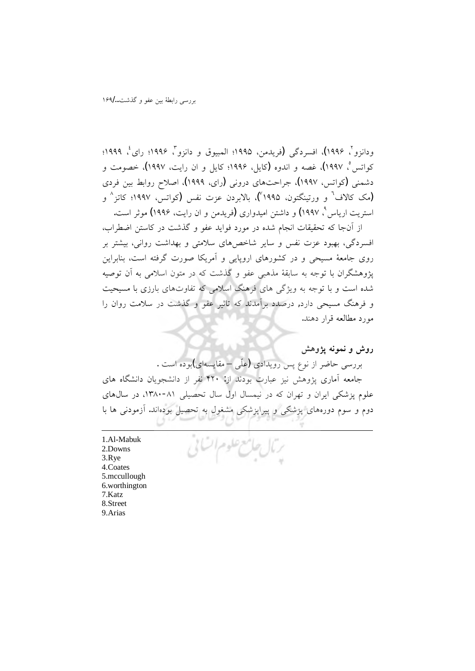ودانزو ً، ۱۹۹۶)، افسردگی (فریدمن، ۱۹۹۵؛ المبیوق و دانزو ً، ۱۹۹۶؛ رای ٔ، ۱۹۹۹؛ کواتس ْ، ۱۹۹۷)، غصه و اندوه (کایل، ۱۹۹۶؛ کایل و ان رایت، ۱۹۹۷)، خصومت و دشمنی (کواتس، ۱۹۹۷)، جراحتهای درونی (رای، ۱۹۹۹)، اصلاح روابط بین فردی (مک کالاف<sup>٦</sup> و ورتینگتون، ۱۹۹۵)، بالابردن عزت نفس (کواتس، ۱۹۹۷؛ کاتز<sup>^</sup> و استریت اریاس <sup>۹</sup>، ۱۹۹۷) و داشتن امیدواری **(ن**ویدمن و ان رایت، ۱۹۹۶**)** موثر است.

از آنجا که تحقیقات انجام شده در مورد فواید عفو و گذشت در کاستن اضطراب، افسردگی، بهبود عزت نفس و سایر شاخصهای سلامتی و بهداشت روانی، بیشتر بر روی جامعهٔ مسیحی و در کشورهای اروپایی و آمریکا صورت گرفته است، بنابراین پژوهشگران با توجه به سابقهٔ مذهبی عفو و گذشت که در متون اسلامی به آن توصیه شده است و با توجه به ویژگی های فرهنگ اسلامی که تفاوتهای بارزی با مسیحیت و فرهنگ مسیحی دارد, درصدد برآمدند که تاثیر عفو و گذشت در سلامت روان را مورد مطالعه قرار دهند.

**روش و نمونه یژوهش** 

بررسی حاضر از نوع پس رویدادی (علّی – مقایسهای)بوده است .

جامعه آماری پژوهش نیز عبارت بودند از: ۴۲۰ نفر از دانشجویان دانشگاه های علوم یزشکی ایران و تهران که در نیمسال اول سال تحصیلی ۸۱-۱۳۸۰، در سالهای دوم و سوم دورههای پزشکی و پیراپزشکی مشغول به تحصیل بودهاند. آزمودنی ها با

جامع علوم أك

Al-Mabuk.1 2.Downs 3.Rye 4.Coates 5.mccullough .6 worthington 7.Katz. 8.Street 9. Arias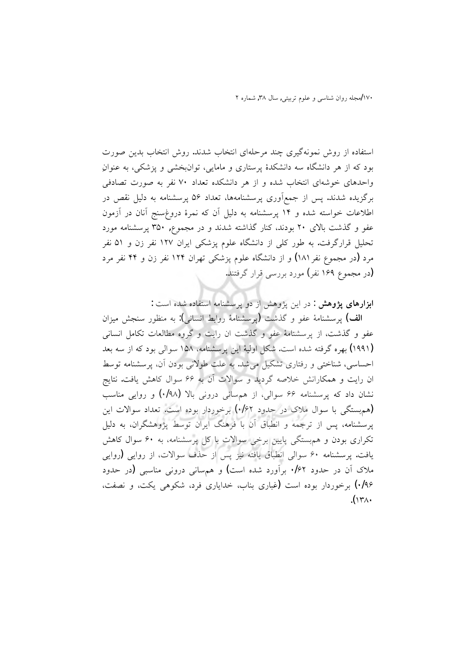۱۷۰لمجله روان شناسی و علوم تربیتی, سال ۳۸, شماره ۲

استفاده از روش نمونهگیری چند مرحلهای انتخاب شدند. روش انتخاب بدین صورت بود که از هر دانشگاه سه دانشکدهٔ پرستاری و مامایی، توانبخشی و پزشکی، به عنوانِ واحدهای خوشهای انتخاب شده و از هر دانشکده تعداد ۷۰ نفر به صورت تصادفی برگزیده شدند. پس از جمعآوری پرسشنامهها، تعداد ۵۶ پرسشنامه به دلیل نقص در اطلاعات خواسته شده و ۱۴ پرسشنامه به دلیل آن که نمرهٔ دروغِسنج آنان در آزمون عفو و گذشت بالای ۲۰ بودند، کنار گذاشته شدند و در مجموع, ۳۵۰ پرسشنامه مورد تحلیل قرارگرفت. به طور کلی از دانشگاه علوم پزشکی ایران ۱۲۷ نفر زن و ۵۱ نفر مرد (در مجموع نفر ۱۸۱) و از دانشگاه علوم پزشکی تهران ۱۲۴ نفر زن و ۴۴ نفر مرد (در مجموع ۱۶۹ نفر) مورد بررسی قرار گرفتند.

ابزارهای پژوهش : در این پژوهش از دو پرسشنامه استفاده شده است :

الف) یرسشنامهٔ عفو و گذشت (پرسشنامهٔ روابط انسانی): به منظور سنجش میزان عفو و گذشت، از پرسشنامهٔ عفو و گذشت ان رایت و گروه مطالعات تکامل انسانی (۱۹۹۱) بهره گرفته شده است. شکل اولیهٔ این پرسشنامه، ۱۵۸ سوالی بود که از سه بعد احساسی، شناختی و رفتاری تشکیل می شد. به علت طولانی بودن آن، پرسشنامه توسط ان رایت و همکارانش خلاصه گردید و سوالات آن به ۶۶ سوال کاهش یافت. نتایج نشان داد که پرسشنامه ۶۶ سوالی، از هم سانی درونی بالا (۰/۹۸) و روایی مناسب (هم بستگی با سوال ملاک در حدود ۰/۶۲) برخوردار بوده است. تعداد سوالات این یرسشنامه، پس از ترجمه و انطباق آن با فرهنگ ایران توسط پژوهشگران، به دلیل تکراری بودن و هم بستگی پایین برخی سوالات با کل پرسشنامه، به ۶۰ سوال کاهش یافت. پرسشنامه ۶۰ سوالی انطباق یافته نیز پس از حذف سوالات، از روایی (روایی ملاک آن در حدود ۰/۶۲ برآورد شده است) و هم سانی درونی مناسبی (در حدود ۰/۹۶) برخوردار بوده است (غباری بناب، خدایاری فرد، شکوهی یکت، و نصفت،  $\Lambda(\Upsilon\wedge\cdot)$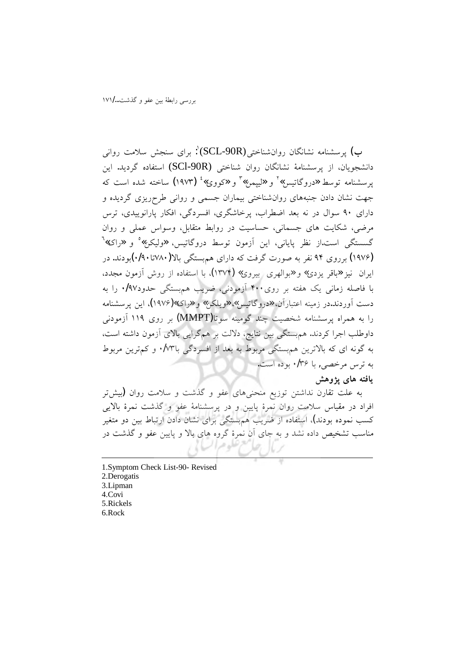ب) پرسشنامه نشانگان روانشناختی(SCL-90R)<sup>۱</sup>: برای سنجش سلامت روان<sub>ی</sub> دانشجویان، از پرسشنامهٔ نشانگان روان شناختی (SCl-90R) استفاده گردید. این پرسشنامه توسط «دروگاتیس»<sup>۲</sup> و «لیپمن»<sup>۲</sup> و «کووی»<sup>؛</sup> (۱۹۷۳) ساخته شده است که جهت نشان دادن جنبههای روانشناختی بیماران جسمی و روانی طرحریزی گردیده و دارای ۹۰ سوال در نه بعد اضطراب، پرخاشگری، افسردگی، افکار پارانوییدی، ترس مرضی، شکایت های جسمانی، حساسیت در روابط متقابل، وسواس عملی و روان گسستگی است از نظر پایانی، این آزمون توسط دروگاتیس، «ولیکن» و «راک»<sup>7</sup> (۱۹۷۶) برروی ۹۴ نفر به صورت گرفت که دارای هم پستگی بالا(۱۷۸۰تا ۰/۹۰)بودند. در ایران نیز «باقر یزدی» و «بوالهری بیروی» (۱۳۷۴)، با استفاده از روش آزمون مجدد، با فاصله زمانی یک هفته بر روی۴۰۰ آزمودنی، ضریب هم بستگی حدود۰/۹۷ را به دست آوردند.در زمینه اعتبارآن، «دروگاتیس» «ویلکن» و «راک»(۱۹۷۶)، این پرسشنامه را به همراه پرسشنامه شخصیت چند گومینه سوتا(MMPT) پر روی ۱۱۹ آزمودنی داوطلب اجرا كردند. هم بستگى بين نتايج، دلالت بر هم گرايى بالاى آزمون داشته است، به گونه ای که بالاترین هم بستگی مربوط به بعد از افسردگی با۷۳ ٌ. و کم ترین مربوط به ترس مرخصی, با ۱۳۶ بوده است.

## یافته های یژوهش

به علت تقارن نداشتن توزیع منحنیهای عفو و گذشت و سلامت روان **(**بیشتر افراد در مقیاس سلامت روان نمرهٔ پایین و در پرسشنامهٔ عفو و گذشت نمرهٔ بالایی کسب نموده بودند)، استفاده از ضریب هم سنگی برای نشان دادن ارتباط بین دو متغیر مناسب تشخیص داده نشد و به جای آن نمرهٔ گروه های بالا و پایین عفو و گذشت در

1.Symptom Check List-90- Revised 2.Derogatis 3.Lipman 4.Covi 5.Rickels 6.Rock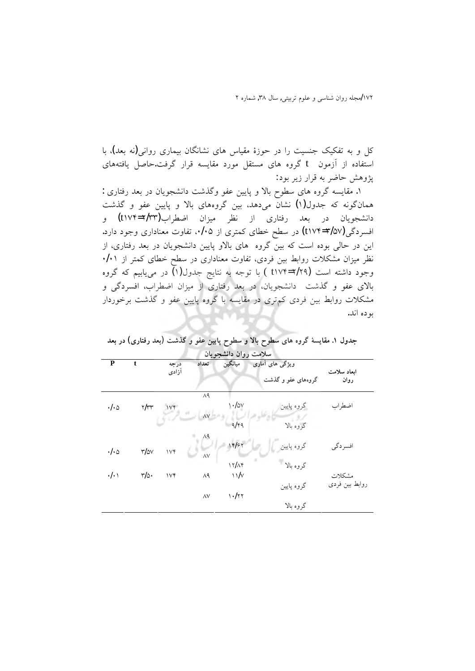کل و به تفکیک جنسیت را در حوزهٔ مقیاس های نشانگان بیماری روانی(نه بعد)، با استفاده از آزمون t گروه های مستقل مورد مقایسه قرار گرفت.حاصل یافتههای پژوهش حاضر به قرار زير بود:

: مقايسه گروه هاى سطوح بالا و پايين عفو وگذشت دانشجويان در بعد رفتارى . همانگونه که جدول(۱) نشان میدهد، بین گروههای بالا و پایین عفو و گذشت دانشجویان در بعد رفتاری از نظر میزان اضطراب(۲/۳۳=t۱۷۴) و افسردگی(t۱۷۴=۲/۵۷**)** در سطح خطای کمتری از ۲۰۵. تفاوت معناداری وجود دارد. این در حالی بوده است که بین گروه های بالاو پایین دانشجویان در بعد رفتاری، از نظر میزان مشکلات روابط بین فردی، تفاوت معناداری در سطح خطای کمتر از ۰/۰۱ وجود داشته است (۲/۹=۲۱۷۴) با توجه به نتايج جدول(۱) در مييابيم كه گروه بالای عفو و گذشت دانشجویان، در بعد رفتاری از میزان اضطراب، افسردگی و مشکلات روابط بین فردی کم تری در مقایسه با گروه پایین عفو و گذشت برخوردار بو ده اند.

| سلامت روان دانشجويان  |                       |               |             |                  |                    |                |  |  |
|-----------------------|-----------------------|---------------|-------------|------------------|--------------------|----------------|--|--|
| ${\bf P}$             | t                     | درجه<br>آزادى | تعداد       | ميانگين          | ویژگی های آماری    | ابعاد سلامت    |  |  |
|                       |                       |               |             |                  | گروههای عفو و گذشت | روان           |  |  |
|                       |                       |               | $\Lambda$ ٩ |                  |                    |                |  |  |
| $\cdot/\cdot$ 0       | $\gamma/\gamma\gamma$ | 1Vf           |             | $\cdot$ /av      | گروه پایین         | اضطراب         |  |  |
|                       |                       |               | $\wedge$    |                  |                    |                |  |  |
|                       |                       |               |             | q/rq             | گروه بالا          |                |  |  |
|                       |                       |               | ۸۹          |                  |                    |                |  |  |
| $\cdot/\cdot$ $\circ$ | $r/\omega v$          | Vf            |             | 14/۶۲            | گروه پایین         | افسردگي        |  |  |
|                       |                       |               | $\wedge$    |                  |                    |                |  |  |
|                       |                       |               |             | 17/19            | گروه بالا          |                |  |  |
| $\cdot/\cdot$         | $r/\circ$ .           | $\vee\forall$ | ٨٩          | $\sqrt{\sqrt{}}$ |                    | مشكلات         |  |  |
|                       |                       |               |             |                  | گروه پایین         | روابط بين فردى |  |  |
|                       |                       |               | $\wedge$    | 1.177            |                    |                |  |  |
|                       |                       |               |             |                  | گروه بالا          |                |  |  |

جدول ۱. مقایسهٔ گروه های سطوح بالا و سطوح پایین عفو و گذشت (بعد رفتاری) در بعد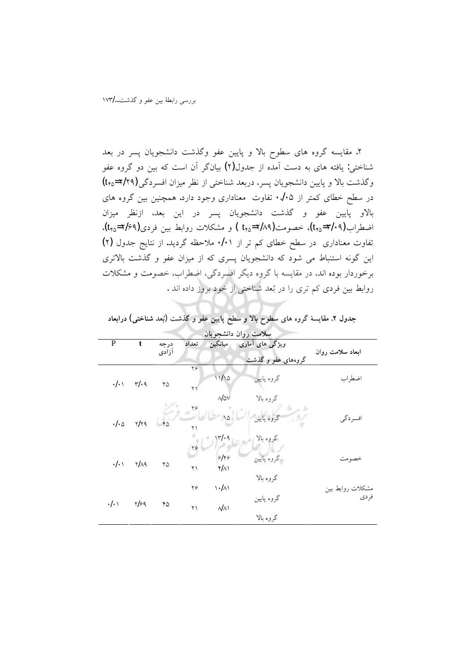۲. مقایسه گروه های سطوح بالا و پایین عفو وگذشت دانشجویان پسر در بعد شناختی: یافته های به دست آمده از جدول(۲) بیانگر آن است که بین دو گروه عفو وگذشت بالا و پایین دانشجویان پسر، دربعد شناختی از نظر میزان افسردگی(۲/۲۹=۴<sub>۴۵</sub>) در سطح خطای کمتر از ۰٬/۰۵ تفاوت معناداری وجود دارد. همچنین بین گروه های .<br>بالاو پایین عفو و گذشت دانشجویان پسر در این بعد، ازنظر میزان اضطراب(٣/٠٩-٢/٥م)، خصومت(٢/٨٩=٢٨٥ ) و مشكلات روابط بين فردي(٢/٤٩-t<sub>٢٥</sub>)، تفاوت معناداری در سطح خطای کم تر از ۰/۰۱ ملاحظه گردید. از نتایج جدول (۲) این گونه استنباط می شود که دانشجویان پسری که از میزان عفو و گذشت بالاتری برخوردار بوده اند، در مقایسه با گروه دیگر افسردگی، اضطراب، خصومت و مشکلات روابط بین فردی کم تری را در بُعد شناختی از خود بروز داده اند .

| سلامت روان دانشجويان |              |       |            |                                    |                    |                  |  |
|----------------------|--------------|-------|------------|------------------------------------|--------------------|------------------|--|
| P                    | t            | درجه  | تعداد      | ميانگين                            | ویژگی های آماری    |                  |  |
|                      |              | آزادى |            |                                    | گروههای عفو و گذشت | ابعاد سلامت روان |  |
|                      | $r/\cdot q$  | ۴۵    | ۲۶         |                                    |                    |                  |  |
| $\cdot/\cdot$        |              |       |            | 11/10                              | گروه پایین         | اضطراب           |  |
|                      |              |       | $\uparrow$ |                                    |                    |                  |  |
|                      |              |       |            | $\mathcal{N}$ $\Delta V$           | گروه بالا          |                  |  |
|                      | ۲/۲۹         | 40    | Y          |                                    |                    |                  |  |
| ۰/۰۵                 |              |       |            |                                    | گروه پایین         | افسردگي          |  |
|                      |              |       | ۲۱         |                                    |                    |                  |  |
|                      |              |       |            | 171.9                              | گروه بالا          |                  |  |
|                      | <b>۲/۸۹</b>  | ۴۵    | ۲۶         |                                    |                    |                  |  |
| $\cdot/\cdot$        |              |       |            | 9149                               | گروه پایین         | خصو مت           |  |
|                      |              |       | ۲۱         | $f/\lambda$                        |                    |                  |  |
|                      |              |       |            |                                    | گروه بالا          |                  |  |
| $\cdot/\cdot$        | $\gamma$ /۶۹ | ۴۵    | ۲۶         | $\backslash \cdot/\land\backslash$ |                    | مشكلات روابط بين |  |
|                      |              |       |            |                                    | گروه پایین         | فر دی            |  |
|                      |              |       | ۲۱         | $\mathcal{N}$                      |                    |                  |  |
|                      |              |       |            |                                    | گروه بالا          |                  |  |

جدول ۲. مقایسهٔ گروه های سطوح بالا و سطح پایین عفو و گذشت (بُعد شناختی) درابعاد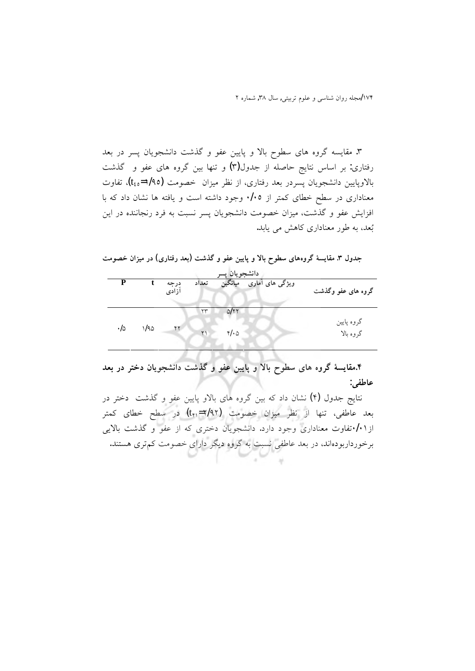۳. مقایسه گروه های سطوح بالا و پایین عفو و گذشت دانشجویان پسر در بعد رفتاری: بر اساس نتایج حاصله از جدول $(\vec{r})$  و تنها بین گروه های عفو و گذشت بالاوپایین دانشجویان پسردر بعد رفتاری، از نظر میزان خصومت (۱/۹۵=۴<sub>٤٥</sub>)، تفاوت معناداری در سطح خطای کمتر از ۰/۰۵ وجود داشته است و یافته ها نشان داد که با افزایش عفو و گذشت، میزان خصومت دانشجویان پسر نسبت به فرد رنجاننده در این بُعد، به طور معناداری کاهش می یابد.

جدول ۳. مقایسهٔ گروههای سطوح بالا و پایین عفو و گذشت (بعد رفتاری) در میزان خصومت

| دانشجويان پسه |      |                |              |            |                 |                         |
|---------------|------|----------------|--------------|------------|-----------------|-------------------------|
| P             |      | دِرجه<br>آزادى | تعداد        | ميانگين    | ویژگی های آماری | گروه های عفو وگذشت      |
|               |      |                | ۲۳           | 51 Y       |                 |                         |
| ۰/۵           | 1/90 | ۴۲             | $\mathsf{r}$ | $4\cdot 0$ |                 | گروه پایین<br>گروه بالا |

۴.مقایسهٔ گروه های سطوح بالا و پایین عفو و گذشت دانشجویان دختر در بعد عاطفي:

نتايج جدول (۴) نشان داد كه بين گروه هاى بالاو پايين عفو و گذشت دختر در بعد عاطفي، تنها از نظر ميزان خصومت (٢/٩٢= t<sub>٢١</sub>) در سطح خطاى كمتر از ۰/۰اتفاوت معناداری وجود دارد. دانشجویان دختری که از عفو و گذشت بالایی برخورداربودهاند، در بعد عاطفی نسبت به گروه دیگر دارای خصومت کم تری هستند.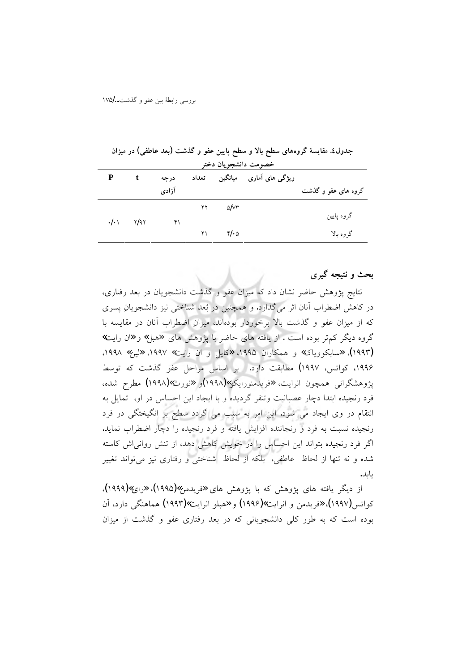| خصومت دانشجويان دختر |              |               |       |                                 |                             |                     |  |
|----------------------|--------------|---------------|-------|---------------------------------|-----------------------------|---------------------|--|
| P                    | $\mathbf{t}$ | درجه          | تعداد |                                 | ویژگی های آماری     میانگین |                     |  |
|                      |              | آزادى         |       |                                 |                             | گروه های عفو و گذشت |  |
|                      |              |               | ۲۲    | $\sim$ $\sim$ $\sim$            |                             |                     |  |
|                      |              | $\mathcal{F}$ |       |                                 |                             | گروه پایین          |  |
|                      |              |               | ۲۱    | $\mathcal{F}/\cdot\vartriangle$ |                             | گر وہ بالا          |  |

جدول٤. مقایسهٔ گروههای سطح بالا و سطح پایین عفو و گذشت (بعد عاطفی) در میزان

بحث و نتیجه گیر *ی* 

نتايج يژوهش حاضر نشان داد كه ميزان عفو و گذشت دانشجويان در بعد رفتاري، در کاهش اضطراب آنان اثر میگذارد. و همچنین در بُعد شناختی نیز دانشجویان پسری که از میزان عفو و گذشت بالاً برخوردار بودهاند، میزانِ اضطراب آنان در مقایسه با گروه دیگر کم تر بوده است . از یافته های حاضر با پژوهش های «هبل» و «ان رایت» (۱۹۹۳)، «سابکوویاک» و همکاران ۱۹۹۵، «کایل و ان رایت» ۱۹۹۷، «لین» ۱۹۹۸. ١٩٩۶، كواتس، ١٩٩٧) مطابقت دارد. بر اساس مراحل عفو گذشت كه توسط یژوهشگرانی همچون انرایت، «فریدمنورایکو»(۱۹۹۸)و «نورث»(۱۹۹۸) مطرح شده، فرد رنجیده ابتدا دچار عصبانیت وتنفر گردیده و با ایجاد این احساس در او، تمایل به انتقام در وی ایجاد می شود. این امر به سبب می گردد سطح بر انگیختگی در فرد رنجیده نسبت به فرد و رنجاننده افزایش یافته و فرد رنجیده را دچار اضطراب نماید. اگر فرد رنجیده بتواند این احساس را در خویش کاهش دهد، از تنش روانی اش کاسته شده و نه تنها از لحاظ عاطفي، بلكه از لحاظ شناختي و رفتاري نيز ميتواند تغيير بايد.

از دیگر یافته های پژوهش که با پژوهش های «فریدمن»(۱۹۹۵)، «رای»(۱۹۹۹)، کواتس(۱۹۹۷)، «فریدمن و انرایت»(۱۹۹۶) و «هبلو انرایت»(۱۹۹۳) هماهنگی دارد، آن بوده است که به طور کلَّی دانشجویانی که در بعد رفتاری عفو و گذشت از میزان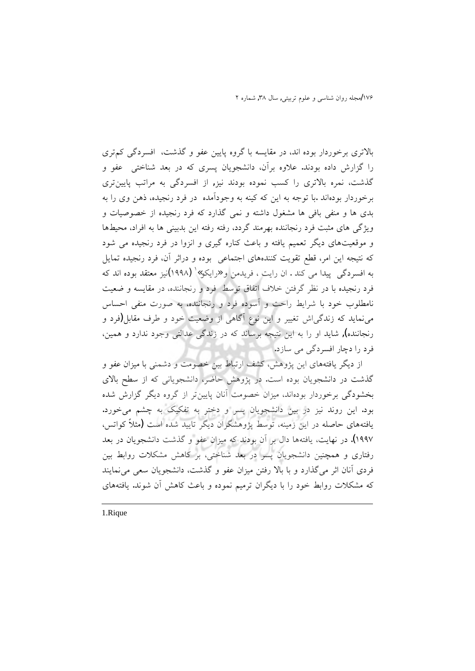بالاتری برخوردار بوده اند، در مقایسه با گروه پایین عفو و گذشت، افسردگی کم تری را گزارش داده بودند. علاوه برآن، دانشجویان پسری که در بعد شناختی عفو و گذشت، نمره بالاتری را کسب نموده بودند نیز, از افسردگی به مراتب پایینتری برخوردار بودهاند .با توجه به این که کینه به وجودآمده ً در فرد رنجیده، ذهن وی را به بدی ها و منفی بافی ها مشغول داشته و نمی گذارد که فرد رنجیده از خصوصیات و ویژگی های مثبت فرد رنجاننده بهرمند گردد، رفته رفته این بدبینی ها به افراد، محیطها و موقعیتهای دیگر تعمیم یافته و باعث کناره گیری و انزوا در فرد رنجیده می شود که نتیجه این امر، قطع تقویت کنندههای اجتماعی بوده و دراثر آن، فرد رنجیده تمایل به افسردگی پیدا می کند . ان رایت ، فریدمن و «رایکو»` (۱۹۹۸)نیز معتقد بوده اند که فرد رنجیده با در نظر گرفتن خلاف اتفاق توسط فرد و رنجاننده، در مقایسه و ضعیت نامطلوب خود با شرايط راحت و أسوده فرد و رنجاننده، به صورت منفى احساس می نماید که زندگی!ش تغییر و این نوع آگاهی از وضعیت خود و طرف مقابل (فرد و رنجاننده), شاید او را به این نتیجه برساند که در زندگی عدالتی وجود ندارد و همین، فرد را دچار افسردگی می سازد.

از دیگر یافتههای این پژوهش، کشف ارتباط بین خصومت و دشمنی با میزان عفو و گذشت در دانشجویان بوده است. در پژوهش حاضر، دانشجویانی که از سطح بالای بخشودگی برخوردار بودهاند، میزان خصومت آنان پایینتر از گروه دیگر گزارش شده بود. این روند نیز در بین دانشجویان پسر و دختر به تفکیک به چشم میخورد. یافتههای حاصله در این زمینه، توسط پژوهشگران دیگر تایید شده است (مثلاً کواتس، ۱۹۹۷). در نهایت، یافتهها دال بر آن بودند که میزان عفو و گذشت دانشجویان در بعد رفتاری و همچنین دانشجویان پسر در بعد شناختی، بر کاهش مشکلات روابط بین فردي أنان اثر ميگذارد و با بالا رفتن ميزان عفو و گذشت، دانشجويان سعي مي نمايند که مشکلات روابط خود را با دیگران ترمیم نموده و باعث کاهش آن شوند. یافتههای

1.Rique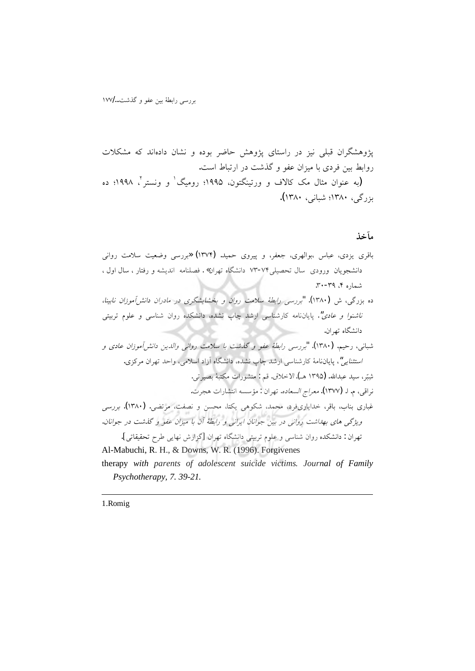مآخذ

Psychotherapy, 7. 39-21.

1.Romig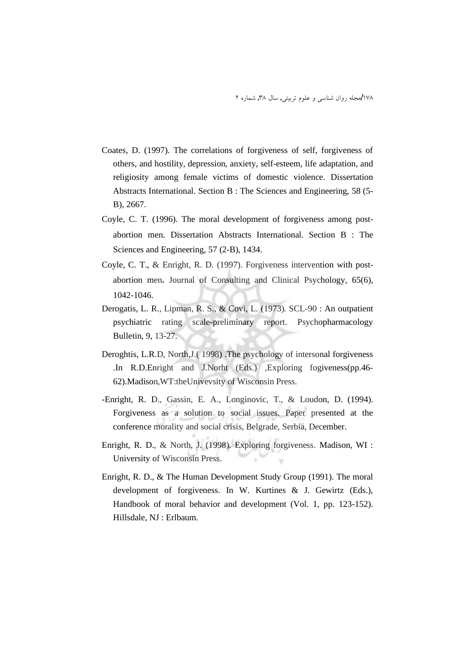- Coates, D. (1997). The correlations of forgiveness of self, forgiveness of others, and hostility, depression, anxiety, self-esteem, life adaptation, and religiosity among female victims of domestic violence. Dissertation Abstracts International. Section B : The Sciences and Engineering, 58 (5-B), 2667.
- Coyle, C. T. (1996). The moral development of forgiveness among postabortion men. Dissertation Abstracts International. Section B : The Sciences and Engineering, 57 (2-B), 1434.
- Coyle, C. T., & Enright, R. D. (1997). Forgiveness intervention with postabortion men. Journal of Consulting and Clinical Psychology, 65(6), 1042-1046.
- Derogatis, L. R., Lipman, R. S., & Covi, L. (1973). SCL-90 : An outpatient psychiatric rating scale-preliminary report. Psychopharmacology Bulletin, 9, 13-27.
- Deroghtis, L.R.D, North, J.(1998). The psychology of intersonal forgiveness .In R.D.Enright and J.Norht (Eds.) , Exploring fogiveness (pp. 46-62). Madison, WT:the University of Wisconsin Press.
- -Enright, R. D., Gassin, E. A., Longinovic, T., & Loudon, D. (1994). Forgiveness as a solution to social issues. Paper presented at the conference morality and social crisis, Belgrade, Serbia, December.
- Enright, R. D., & North, J. (1998). Exploring forgiveness. Madison, WI : University of Wisconsin Press.
- Enright, R. D., & The Human Development Study Group (1991). The moral development of forgiveness. In W. Kurtines & J. Gewirtz (Eds.), Handbook of moral behavior and development (Vol. 1, pp. 123-152). Hillsdale, NJ: Erlbaum.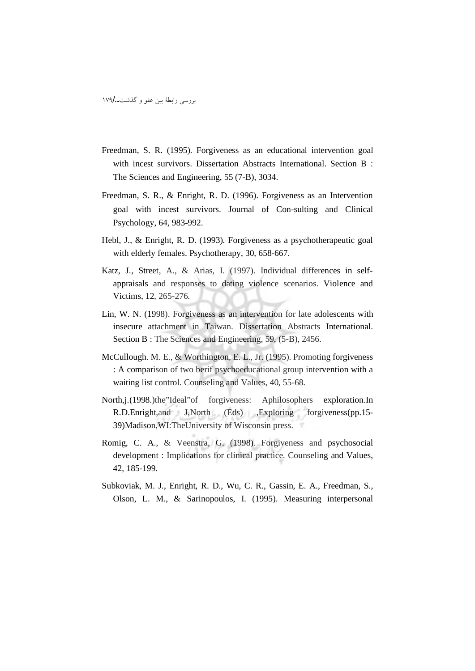بررسی رابطهٔ بین عفو و گذشت.../۱۷۹

- Freedman, S. R. (1995). Forgiveness as an educational intervention goal with incest survivors. Dissertation Abstracts International. Section B: The Sciences and Engineering, 55 (7-B), 3034.
- Freedman, S. R., & Enright, R. D. (1996). Forgiveness as an Intervention goal with incest survivors. Journal of Con-sulting and Clinical Psychology, 64, 983-992.
- Hebl, J., & Enright, R. D. (1993). Forgiveness as a psychotherapeutic goal with elderly females. Psychotherapy, 30, 658-667.
- Katz, J., Street, A., & Arias, I. (1997). Individual differences in selfappraisals and responses to dating violence scenarios. Violence and Victims, 12, 265-276.
- Lin, W. N. (1998). Forgiveness as an intervention for late adolescents with insecure attachment in Taiwan. Dissertation Abstracts International. Section B: The Sciences and Engineering, 59, (5-B), 2456.
- McCullough. M. E., & Worthington, E. L., Jr. (1995). Promoting forgiveness : A comparison of two berif psychoeducational group intervention with a waiting list control. Counseling and Values, 40, 55-68.
- North, i. (1998.) the "Ideal" of forgiveness: Aphilosophers exploration.In R.D.Enright, and J.North (Eds) , Exploring forgiveness (pp. 15-39) Madison, WI: The University of Wisconsin press.
- Romig, C. A., & Veenstra, G. (1998). Forgiveness and psychosocial development: Implications for clinical practice. Counseling and Values, 42, 185-199.
- Subkoviak, M. J., Enright, R. D., Wu, C. R., Gassin, E. A., Freedman, S., Olson, L. M., & Sarinopoulos, I. (1995). Measuring interpersonal